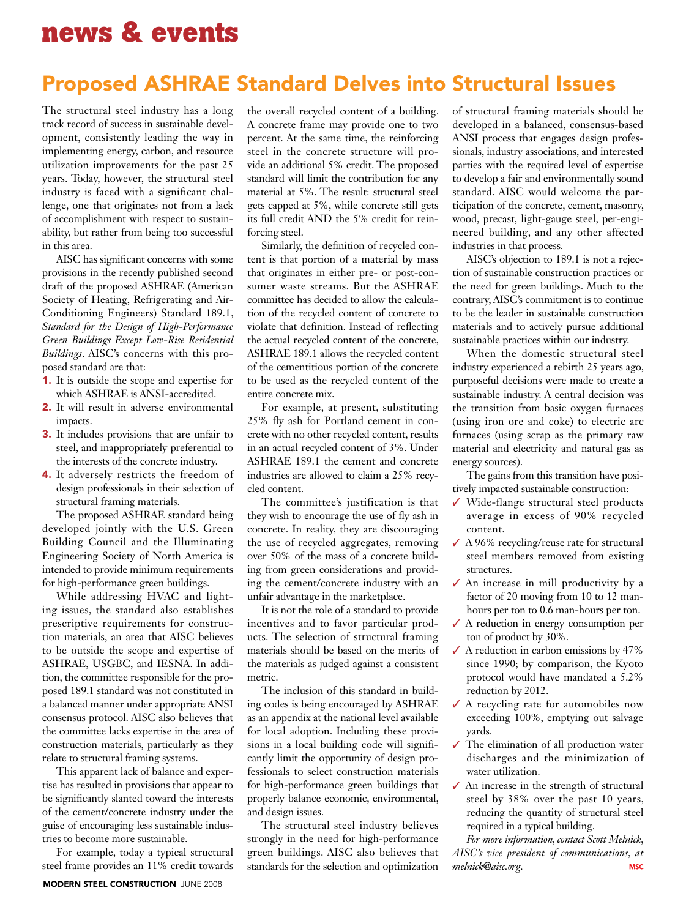## Proposed ASHRAE Standard Delves into Structural Issues

The structural steel industry has a long track record of success in sustainable development, consistently leading the way in implementing energy, carbon, and resource utilization improvements for the past 25 years. Today, however, the structural steel industry is faced with a significant challenge, one that originates not from a lack of accomplishment with respect to sustainability, but rather from being too successful in this area.

AISC has significant concerns with some provisions in the recently published second draft of the proposed ASHRAE (American Society of Heating, Refrigerating and Air-Conditioning Engineers) Standard 189.1, *Standard for the Design of High-Performance Green Buildings Except Low-Rise Residential Buildings*. AISC's concerns with this proposed standard are that:

- 1. It is outside the scope and expertise for which ASHRAE is ANSI-accredited.
- 2. It will result in adverse environmental impacts.
- 3. It includes provisions that are unfair to steel, and inappropriately preferential to the interests of the concrete industry.
- 4. It adversely restricts the freedom of design professionals in their selection of structural framing materials.

The proposed ASHRAE standard being developed jointly with the U.S. Green Building Council and the Illuminating Engineering Society of North America is intended to provide minimum requirements for high-performance green buildings.

While addressing HVAC and lighting issues, the standard also establishes prescriptive requirements for construction materials, an area that AISC believes to be outside the scope and expertise of ASHRAE, USGBC, and IESNA. In addition, the committee responsible for the proposed 189.1 standard was not constituted in a balanced manner under appropriate ANSI consensus protocol. AISC also believes that the committee lacks expertise in the area of construction materials, particularly as they relate to structural framing systems.

This apparent lack of balance and expertise has resulted in provisions that appear to be significantly slanted toward the interests of the cement/concrete industry under the guise of encouraging less sustainable industries to become more sustainable.

For example, today a typical structural steel frame provides an 11% credit towards

the overall recycled content of a building. A concrete frame may provide one to two percent. At the same time, the reinforcing steel in the concrete structure will provide an additional 5% credit. The proposed standard will limit the contribution for any material at 5%. The result: structural steel gets capped at 5%, while concrete still gets its full credit AND the 5% credit for reinforcing steel.

Similarly, the definition of recycled content is that portion of a material by mass that originates in either pre- or post-consumer waste streams. But the ASHRAE committee has decided to allow the calculation of the recycled content of concrete to violate that definition. Instead of reflecting the actual recycled content of the concrete, ASHRAE 189.1 allows the recycled content of the cementitious portion of the concrete to be used as the recycled content of the entire concrete mix.

For example, at present, substituting 25% fly ash for Portland cement in concrete with no other recycled content, results in an actual recycled content of 3%. Under ASHRAE 189.1 the cement and concrete industries are allowed to claim a 25% recycled content.

The committee's justification is that they wish to encourage the use of fly ash in concrete. In reality, they are discouraging the use of recycled aggregates, removing over 50% of the mass of a concrete building from green considerations and providing the cement/concrete industry with an unfair advantage in the marketplace.

It is not the role of a standard to provide incentives and to favor particular products. The selection of structural framing materials should be based on the merits of the materials as judged against a consistent metric.

The inclusion of this standard in building codes is being encouraged by ASHRAE as an appendix at the national level available for local adoption. Including these provisions in a local building code will significantly limit the opportunity of design professionals to select construction materials for high-performance green buildings that properly balance economic, environmental, and design issues.

The structural steel industry believes strongly in the need for high-performance green buildings. AISC also believes that standards for the selection and optimization

of structural framing materials should be developed in a balanced, consensus-based ANSI process that engages design professionals, industry associations, and interested parties with the required level of expertise to develop a fair and environmentally sound standard. AISC would welcome the participation of the concrete, cement, masonry, wood, precast, light-gauge steel, per-engineered building, and any other affected industries in that process.

AISC's objection to 189.1 is not a rejection of sustainable construction practices or the need for green buildings. Much to the contrary, AISC's commitment is to continue to be the leader in sustainable construction materials and to actively pursue additional sustainable practices within our industry.

When the domestic structural steel industry experienced a rebirth 25 years ago, purposeful decisions were made to create a sustainable industry. A central decision was the transition from basic oxygen furnaces (using iron ore and coke) to electric arc furnaces (using scrap as the primary raw material and electricity and natural gas as energy sources).

The gains from this transition have positively impacted sustainable construction:

- ✓ Wide-flange structural steel products average in excess of 90% recycled content.
- $\angle$  A 96% recycling/reuse rate for structural steel members removed from existing structures.
- ✓ An increase in mill productivity by a factor of 20 moving from 10 to 12 manhours per ton to 0.6 man-hours per ton.
- ✓ A reduction in energy consumption per ton of product by 30%.
- $\angle$  A reduction in carbon emissions by 47% since 1990; by comparison, the Kyoto protocol would have mandated a 5.2% reduction by 2012.
- ✓ A recycling rate for automobiles now exceeding 100%, emptying out salvage yards.
- ✓ The elimination of all production water discharges and the minimization of water utilization.
- ✓ An increase in the strength of structural steel by 38% over the past 10 years, reducing the quantity of structural steel required in a typical building.

*For more information, contact Scott Melnick, AISC's vice president of communications, at melnick@aisc.org.* **MSC**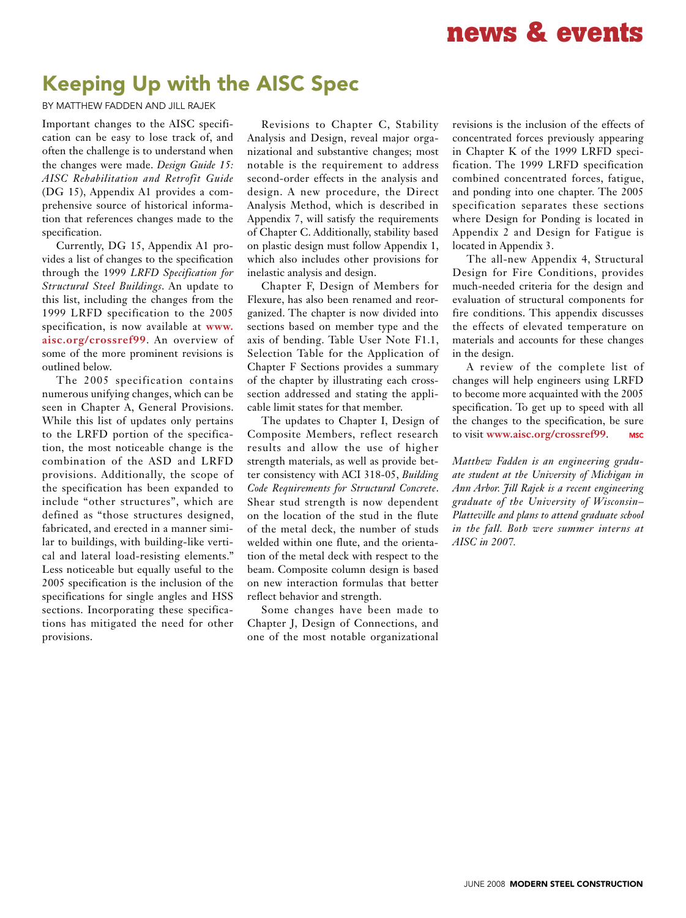## Keeping Up with the AISC Spec

By Matthew Fadden and Jill Rajek

Important changes to the AISC specification can be easy to lose track of, and often the challenge is to understand when the changes were made. *Design Guide 15: AISC Rehabilitation and Retrofit Guide*  (DG 15), Appendix A1 provides a comprehensive source of historical information that references changes made to the specification.

Currently, DG 15, Appendix A1 provides a list of changes to the specification through the 1999 *LRFD Specification for Structural Steel Buildings*. An update to this list, including the changes from the 1999 LRFD specification to the 2005 specification, is now available at **www. aisc.org/crossref99**. An overview of some of the more prominent revisions is outlined below.

The 2005 specification contains numerous unifying changes, which can be seen in Chapter A, General Provisions. While this list of updates only pertains to the LRFD portion of the specification, the most noticeable change is the combination of the ASD and LRFD provisions. Additionally, the scope of the specification has been expanded to include "other structures", which are defined as "those structures designed, fabricated, and erected in a manner similar to buildings, with building-like vertical and lateral load-resisting elements." Less noticeable but equally useful to the 2005 specification is the inclusion of the specifications for single angles and HSS sections. Incorporating these specifications has mitigated the need for other provisions.

Revisions to Chapter C, Stability Analysis and Design, reveal major organizational and substantive changes; most notable is the requirement to address second-order effects in the analysis and design. A new procedure, the Direct Analysis Method, which is described in Appendix 7, will satisfy the requirements of Chapter C. Additionally, stability based on plastic design must follow Appendix 1, which also includes other provisions for inelastic analysis and design.

Chapter F, Design of Members for Flexure, has also been renamed and reorganized. The chapter is now divided into sections based on member type and the axis of bending. Table User Note F1.1, Selection Table for the Application of Chapter F Sections provides a summary of the chapter by illustrating each crosssection addressed and stating the applicable limit states for that member.

The updates to Chapter I, Design of Composite Members, reflect research results and allow the use of higher strength materials, as well as provide better consistency with ACI 318-05, *Building Code Requirements for Structural Concrete*. Shear stud strength is now dependent on the location of the stud in the flute of the metal deck, the number of studs welded within one flute, and the orientation of the metal deck with respect to the beam. Composite column design is based on new interaction formulas that better reflect behavior and strength.

Some changes have been made to Chapter J, Design of Connections, and one of the most notable organizational

revisions is the inclusion of the effects of concentrated forces previously appearing in Chapter K of the 1999 LRFD specification. The 1999 LRFD specification combined concentrated forces, fatigue, and ponding into one chapter. The 2005 specification separates these sections where Design for Ponding is located in Appendix 2 and Design for Fatigue is located in Appendix 3.

The all-new Appendix 4, Structural Design for Fire Conditions, provides much-needed criteria for the design and evaluation of structural components for fire conditions. This appendix discusses the effects of elevated temperature on materials and accounts for these changes in the design.

A review of the complete list of changes will help engineers using LRFD to become more acquainted with the 2005 specification. To get up to speed with all the changes to the specification, be sure to visit **www.aisc.org/crossref99**. **MSC** 

*Matthew Fadden is an engineering graduate student at the University of Michigan in Ann Arbor. Jill Rajek is a recent engineering graduate of the University of Wisconsin– Platteville and plans to attend graduate school in the fall. Both were summer interns at AISC in 2007.*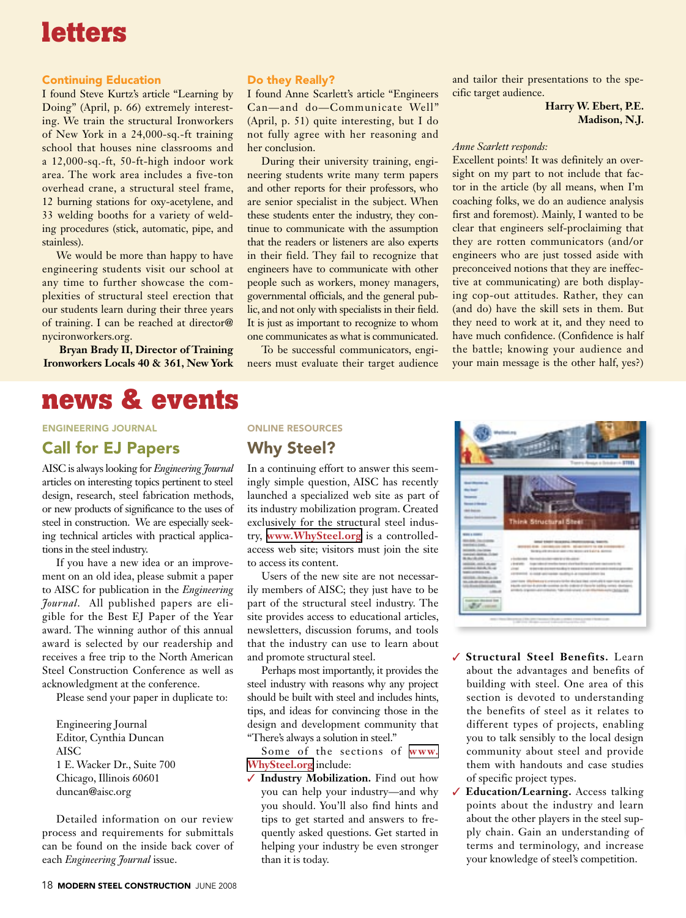# **letters**

### Continuing Education

I found Steve Kurtz's article "Learning by Doing" (April, p. 66) extremely interesting. We train the structural Ironworkers of New York in a 24,000-sq.-ft training school that houses nine classrooms and a 12,000-sq.-ft, 50-ft-high indoor work area. The work area includes a five-ton overhead crane, a structural steel frame, 12 burning stations for oxy-acetylene, and 33 welding booths for a variety of welding procedures (stick, automatic, pipe, and stainless).

We would be more than happy to have engineering students visit our school at any time to further showcase the complexities of structural steel erection that our students learn during their three years of training. I can be reached at director@ nycironworkers.org.

**Bryan Brady II, Director of Training Ironworkers Locals 40 & 361, New York**

## **news & events**

### Engineering journal

### Call for EJ Papers

AISC is always looking for *Engineering Journal* articles on interesting topics pertinent to steel design, research, steel fabrication methods, or new products of significance to the uses of steel in construction. We are especially seeking technical articles with practical applications in the steel industry.

If you have a new idea or an improvement on an old idea, please submit a paper to AISC for publication in the *Engineering Journal*. All published papers are eligible for the Best EJ Paper of the Year award. The winning author of this annual award is selected by our readership and receives a free trip to the North American Steel Construction Conference as well as acknowledgment at the conference.

Please send your paper in duplicate to:

Engineering Journal Editor, Cynthia Duncan AISC 1 E. Wacker Dr., Suite 700 Chicago, Illinois 60601 duncan@aisc.org

Detailed information on our review process and requirements for submittals can be found on the inside back cover of each *Engineering Journal* issue.

### Do they Really?

I found Anne Scarlett's article "Engineers Can—and do—Communicate Well" (April, p. 51) quite interesting, but I do not fully agree with her reasoning and her conclusion.

During their university training, engineering students write many term papers and other reports for their professors, who are senior specialist in the subject. When these students enter the industry, they continue to communicate with the assumption that the readers or listeners are also experts in their field. They fail to recognize that engineers have to communicate with other people such as workers, money managers, governmental officials, and the general public, and not only with specialists in their field. It is just as important to recognize to whom one communicates as what is communicated.

To be successful communicators, engineers must evaluate their target audience

and tailor their presentations to the specific target audience.

> **Harry W. Ebert, P.E. Madison, N.J.**

### *Anne Scarlett responds:*

Excellent points! It was definitely an oversight on my part to not include that factor in the article (by all means, when I'm coaching folks, we do an audience analysis first and foremost). Mainly, I wanted to be clear that engineers self-proclaiming that they are rotten communicators (and/or engineers who are just tossed aside with preconceived notions that they are ineffective at communicating) are both displaying cop-out attitudes. Rather, they can (and do) have the skill sets in them. But they need to work at it, and they need to have much confidence. (Confidence is half the battle; knowing your audience and your main message is the other half, yes?)

### online resources

### Why Steel?

In a continuing effort to answer this seemingly simple question, AISC has recently launched a specialized web site as part of its industry mobilization program. Created exclusively for the structural steel industry, **[www.WhySteel.org](http://www.WhySteel.org)** is a controlledaccess web site; visitors must join the site to access its content.

Users of the new site are not necessarily members of AISC; they just have to be part of the structural steel industry. The site provides access to educational articles, newsletters, discussion forums, and tools that the industry can use to learn about and promote structural steel.

Perhaps most importantly, it provides the steel industry with reasons why any project should be built with steel and includes hints, tips, and ideas for convincing those in the design and development community that "There's always a solution in steel."

Some of the sections of **[www.](http://www.WhySteel.org) [WhySteel.org](http://www.WhySteel.org)** include:

✓ **Industry Mobilization.** Find out how you can help your industry—and why you should. You'll also find hints and tips to get started and answers to frequently asked questions. Get started in helping your industry be even stronger than it is today.



- ✓ **Structural Steel Benefits.** Learn about the advantages and benefits of building with steel. One area of this section is devoted to understanding the benefits of steel as it relates to different types of projects, enabling you to talk sensibly to the local design community about steel and provide them with handouts and case studies of specific project types.
- ✓ **Education/Learning.** Access talking points about the industry and learn about the other players in the steel supply chain. Gain an understanding of terms and terminology, and increase your knowledge of steel's competition.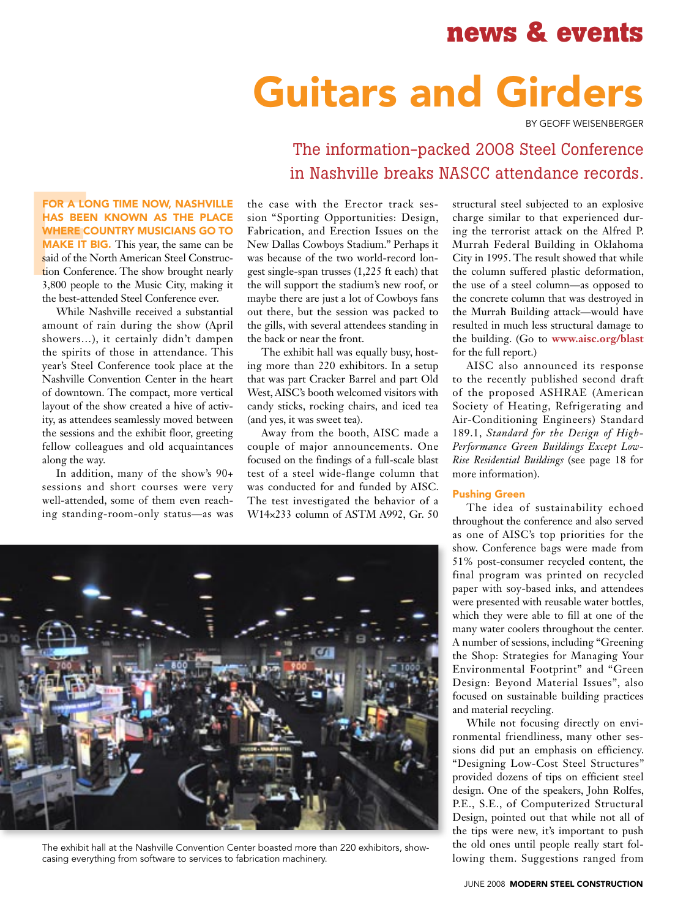# Guitars and Girders

By Geoff Weisenberger

## The information-packed 2008 Steel Conference in Nashville breaks NASCC attendance records.

FOR A LC<br>
HAS BEE<br>
WHERE C<br>
MAKE IT<br>
said of the 1<br>
tion Confe<br>
3,800 peop<br>
the best-att FOR A LONG TIME NOW, NASHVILLE has been known as the place where country musicians go to **MAKE IT BIG.** This year, the same can be said of the North American Steel Construction Conference. The show brought nearly 3,800 people to the Music City, making it the best-attended Steel Conference ever.

While Nashville received a substantial amount of rain during the show (April showers…), it certainly didn't dampen the spirits of those in attendance. This year's Steel Conference took place at the Nashville Convention Center in the heart of downtown. The compact, more vertical layout of the show created a hive of activity, as attendees seamlessly moved between the sessions and the exhibit floor, greeting fellow colleagues and old acquaintances along the way.

In addition, many of the show's 90+ sessions and short courses were very well-attended, some of them even reaching standing-room-only status—as was the case with the Erector track session "Sporting Opportunities: Design, Fabrication, and Erection Issues on the New Dallas Cowboys Stadium." Perhaps it was because of the two world-record longest single-span trusses (1,225 ft each) that the will support the stadium's new roof, or maybe there are just a lot of Cowboys fans out there, but the session was packed to the gills, with several attendees standing in the back or near the front.

The exhibit hall was equally busy, hosting more than 220 exhibitors. In a setup that was part Cracker Barrel and part Old West, AISC's booth welcomed visitors with candy sticks, rocking chairs, and iced tea (and yes, it was sweet tea).

Away from the booth, AISC made a couple of major announcements. One focused on the findings of a full-scale blast test of a steel wide-flange column that was conducted for and funded by AISC. The test investigated the behavior of a W14×233 column of ASTM A992, Gr. 50



The exhibit hall at the Nashville Convention Center boasted more than 220 exhibitors, showcasing everything from software to services to fabrication machinery.

structural steel subjected to an explosive charge similar to that experienced during the terrorist attack on the Alfred P. Murrah Federal Building in Oklahoma City in 1995. The result showed that while the column suffered plastic deformation, the use of a steel column—as opposed to the concrete column that was destroyed in the Murrah Building attack—would have resulted in much less structural damage to the building. (Go to **www.aisc.org/blast** for the full report.)

AISC also announced its response to the recently published second draft of the proposed ASHRAE (American Society of Heating, Refrigerating and Air-Conditioning Engineers) Standard 189.1, *Standard for the Design of High-Performance Green Buildings Except Low-Rise Residential Buildings* (see page 18 for more information).

### Pushing Green

The idea of sustainability echoed throughout the conference and also served as one of AISC's top priorities for the show. Conference bags were made from 51% post-consumer recycled content, the final program was printed on recycled paper with soy-based inks, and attendees were presented with reusable water bottles, which they were able to fill at one of the many water coolers throughout the center. A number of sessions, including "Greening the Shop: Strategies for Managing Your Environmental Footprint" and "Green Design: Beyond Material Issues", also focused on sustainable building practices and material recycling.

While not focusing directly on environmental friendliness, many other sessions did put an emphasis on efficiency. "Designing Low-Cost Steel Structures" provided dozens of tips on efficient steel design. One of the speakers, John Rolfes, P.E., S.E., of Computerized Structural Design, pointed out that while not all of the tips were new, it's important to push the old ones until people really start following them. Suggestions ranged from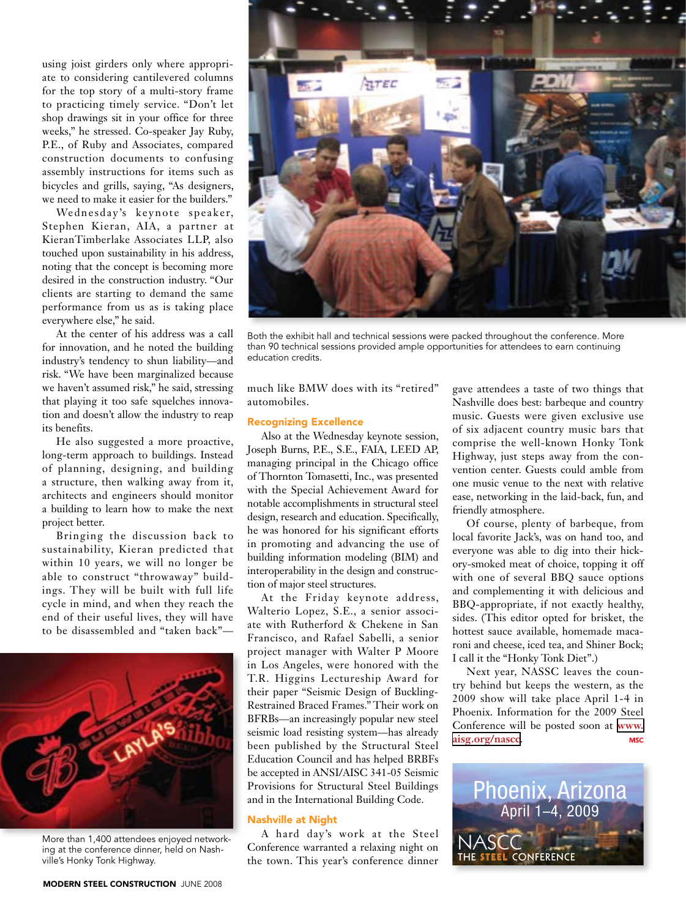using joist girders only where appropriate to considering cantilevered columns for the top story of a multi-story frame to practicing timely service. "Don't let shop drawings sit in your office for three weeks," he stressed. Co-speaker Jay Ruby, P.E., of Ruby and Associates, compared construction documents to confusing assembly instructions for items such as bicycles and grills, saying, "As designers, we need to make it easier for the builders."

Wednesday's keynote speaker, Stephen Kieran, AIA, a partner at KieranTimberlake Associates LLP, also touched upon sustainability in his address, noting that the concept is becoming more desired in the construction industry. "Our clients are starting to demand the same performance from us as is taking place everywhere else," he said.

At the center of his address was a call for innovation, and he noted the building industry's tendency to shun liability—and risk. "We have been marginalized because we haven't assumed risk," he said, stressing that playing it too safe squelches innovation and doesn't allow the industry to reap its benefits.

He also suggested a more proactive, long-term approach to buildings. Instead of planning, designing, and building a structure, then walking away from it, architects and engineers should monitor a building to learn how to make the next project better.

Bringing the discussion back to sustainability, Kieran predicted that within 10 years, we will no longer be able to construct "throwaway" buildings. They will be built with full life cycle in mind, and when they reach the end of their useful lives, they will have to be disassembled and "taken back"—



More than 1,400 attendees enjoyed networking at the conference dinner, held on Nashville's Honky Tonk Highway.



Both the exhibit hall and technical sessions were packed throughout the conference. More than 90 technical sessions provided ample opportunities for attendees to earn continuing education credits.

much like BMW does with its "retired" automobiles.

### Recognizing Excellence

Also at the Wednesday keynote session, Joseph Burns, P.E., S.E., FAIA, LEED AP, managing principal in the Chicago office of Thornton Tomasetti, Inc., was presented with the Special Achievement Award for notable accomplishments in structural steel design, research and education. Specifically, he was honored for his significant efforts in promoting and advancing the use of building information modeling (BIM) and interoperability in the design and construction of major steel structures.

At the Friday keynote address, Walterio Lopez, S.E., a senior associate with Rutherford & Chekene in San Francisco, and Rafael Sabelli, a senior project manager with Walter P Moore in Los Angeles, were honored with the T.R. Higgins Lectureship Award for their paper "Seismic Design of Buckling-Restrained Braced Frames." Their work on BFRBs—an increasingly popular new steel seismic load resisting system—has already been published by the Structural Steel Education Council and has helped BRBFs be accepted in ANSI/AISC 341-05 Seismic Provisions for Structural Steel Buildings and in the International Building Code.

### Nashville at Night

A hard day's work at the Steel Conference warranted a relaxing night on the town. This year's conference dinner

gave attendees a taste of two things that Nashville does best: barbeque and country music. Guests were given exclusive use of six adjacent country music bars that comprise the well-known Honky Tonk Highway, just steps away from the convention center. Guests could amble from one music venue to the next with relative ease, networking in the laid-back, fun, and friendly atmosphere.

Of course, plenty of barbeque, from local favorite Jack's, was on hand too, and everyone was able to dig into their hickory-smoked meat of choice, topping it off with one of several BBQ sauce options and complementing it with delicious and BBQ-appropriate, if not exactly healthy, sides. (This editor opted for brisket, the hottest sauce available, homemade macaroni and cheese, iced tea, and Shiner Bock; I call it the "Honky Tonk Diet".)

Next year, NASSC leaves the country behind but keeps the western, as the 2009 show will take place April 1-4 in Phoenix. Information for the 2009 Steel Conference will be posted soon at **[www.](http://www.aisg.org/nascc) [aisg.org/nascc](http://www.aisg.org/nascc)**. **MSC**